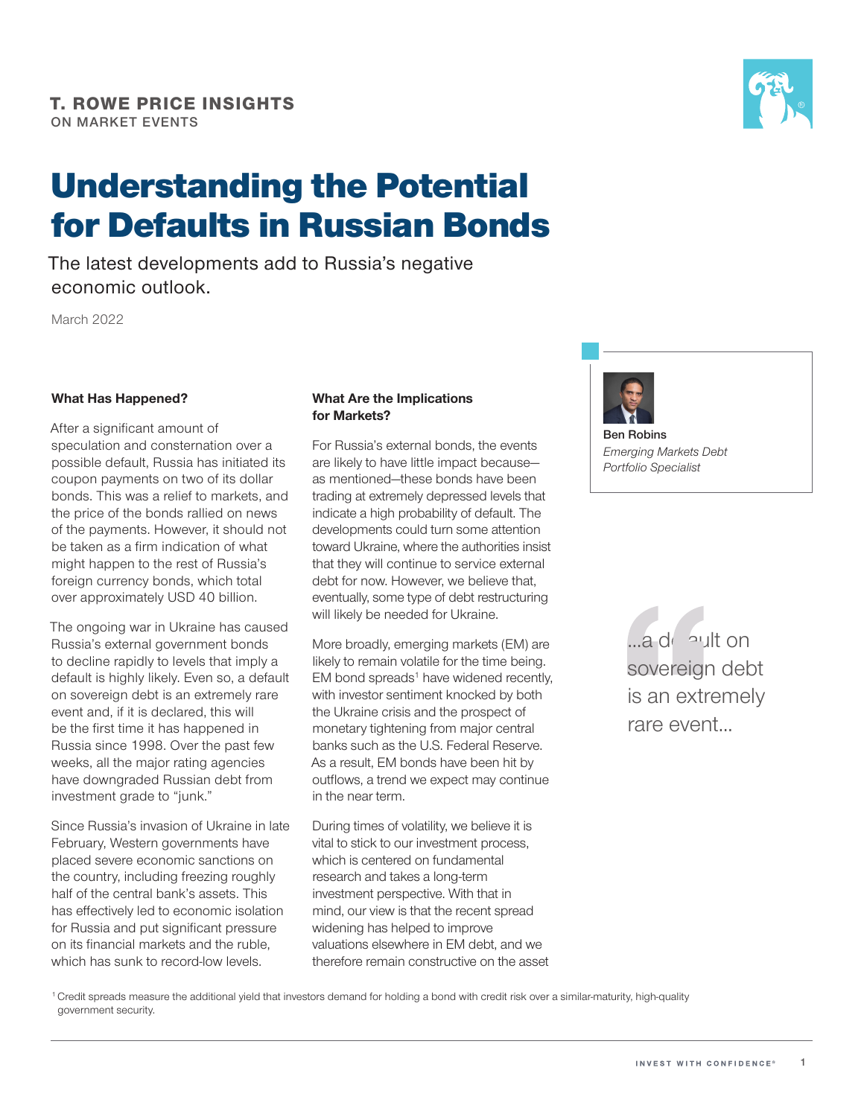

# Understanding the Potential for Defaults in Russian Bonds

The latest developments add to Russia's negative economic outlook.

March 2022

### **What Has Happened?**

After a significant amount of speculation and consternation over a possible default, Russia has initiated its coupon payments on two of its dollar bonds. This was a relief to markets, and the price of the bonds rallied on news of the payments. However, it should not be taken as a frm indication of what might happen to the rest of Russia's foreign currency bonds, which total over approximately USD 40 billion.

The ongoing war in Ukraine has caused Russia's external government bonds to decline rapidly to levels that imply a default is highly likely. Even so, a default on sovereign debt is an extremely rare event and, if it is declared, this will be the first time it has happened in Russia since 1998. Over the past few weeks, all the major rating agencies have downgraded Russian debt from investment grade to "junk."

Since Russia's invasion of Ukraine in late February, Western governments have placed severe economic sanctions on the country, including freezing roughly half of the central bank's assets. This has efectively led to economic isolation for Russia and put significant pressure on its fnancial markets and the ruble, which has sunk to record-low levels.

#### **What Are the Implications for Markets?**

For Russia's external bonds, the events are likely to have little impact because as mentioned—these bonds have been trading at extremely depressed levels that indicate a high probability of default. The developments could turn some attention toward Ukraine, where the authorities insist that they will continue to service external debt for now. However, we believe that, eventually, some type of debt restructuring will likely be needed for Ukraine.

More broadly, emerging markets (EM) are likely to remain volatile for the time being. EM bond spreads<sup>1</sup> have widened recently, with investor sentiment knocked by both the Ukraine crisis and the prospect of monetary tightening from major central banks such as the U.S. Federal Reserve. As a result, EM bonds have been hit by outflows, a trend we expect may continue in the near term.

During times of volatility, we believe it is vital to stick to our investment process, which is centered on fundamental research and takes a long-term investment perspective. With that in mind, our view is that the recent spread widening has helped to improve valuations elsewhere in EM debt, and we therefore remain constructive on the asset



**Ben Robins**  *Emerging Markets Debt Portfolio Specialist* 

> ...a default on sovereign debt is an extremely rare event...

<sup>1</sup> Credit spreads measure the additional yield that investors demand for holding a bond with credit risk over a similar-maturity, high-quality government security.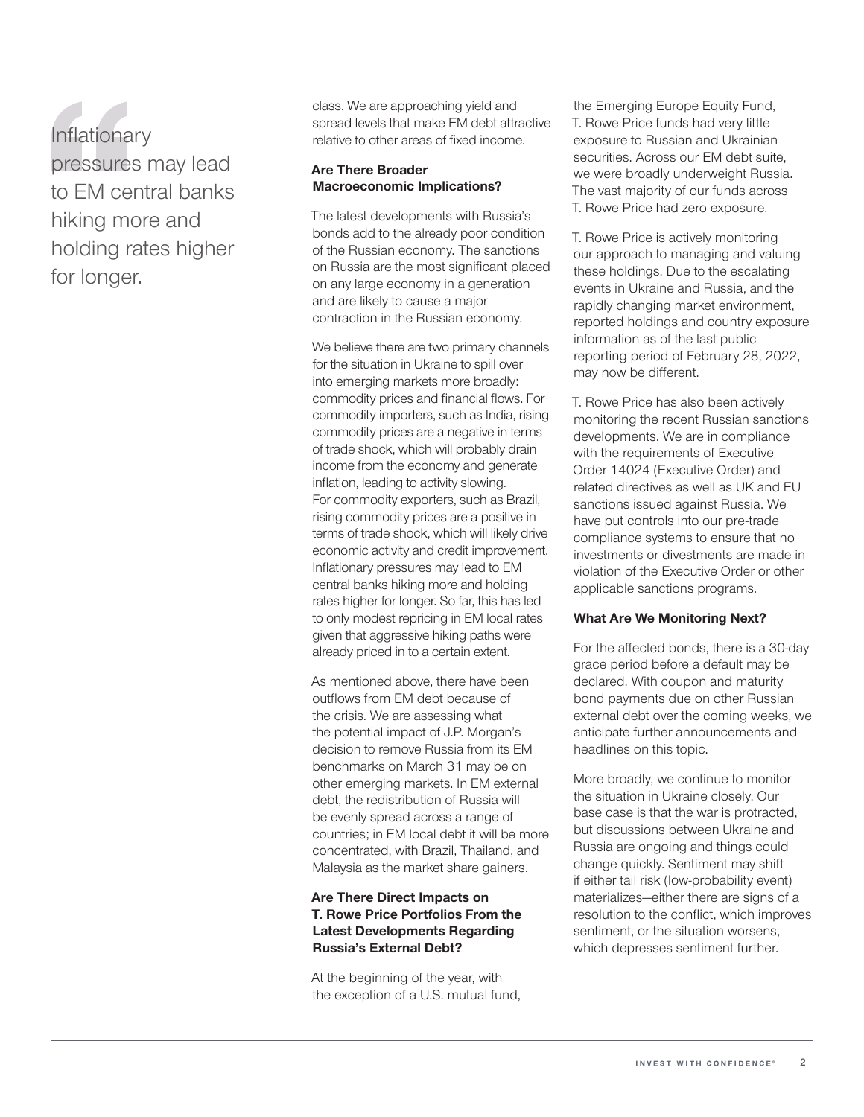**Inflationary** pressures may lead to EM central banks hiking more and holding rates higher for longer.

class. We are approaching yield and spread levels that make EM debt attractive relative to other areas of fixed income.

#### **Are There Broader Macroeconomic Implications?**

The latest developments with Russia's bonds add to the already poor condition of the Russian economy. The sanctions on Russia are the most significant placed on any large economy in a generation and are likely to cause a major contraction in the Russian economy.

commodity prices and financial flows. For We believe there are two primary channels for the situation in Ukraine to spill over into emerging markets more broadly: commodity importers, such as India, rising commodity prices are a negative in terms of trade shock, which will probably drain income from the economy and generate inflation, leading to activity slowing. For commodity exporters, such as Brazil, rising commodity prices are a positive in terms of trade shock, which will likely drive economic activity and credit improvement. Infationary pressures may lead to EM central banks hiking more and holding rates higher for longer. So far, this has led to only modest repricing in EM local rates given that aggressive hiking paths were already priced in to a certain extent.

As mentioned above, there have been outflows from EM debt because of the crisis. We are assessing what the potential impact of J.P. Morgan's decision to remove Russia from its EM benchmarks on March 31 may be on other emerging markets. In EM external debt, the redistribution of Russia will be evenly spread across a range of countries; in EM local debt it will be more concentrated, with Brazil, Thailand, and Malaysia as the market share gainers.

## **Are There Direct Impacts on T. Rowe Price Portfolios From the Latest Developments Regarding Russia's External Debt?**

At the beginning of the year, with the exception of a U.S. mutual fund, the Emerging Europe Equity Fund, T. Rowe Price funds had very little exposure to Russian and Ukrainian securities. Across our EM debt suite, we were broadly underweight Russia. The vast majority of our funds across T. Rowe Price had zero exposure.

T. Rowe Price is actively monitoring our approach to managing and valuing these holdings. Due to the escalating events in Ukraine and Russia, and the rapidly changing market environment, reported holdings and country exposure information as of the last public reporting period of February 28, 2022, may now be diferent.

T. Rowe Price has also been actively monitoring the recent Russian sanctions developments. We are in compliance with the requirements of Executive Order 14024 (Executive Order) and related directives as well as UK and EU sanctions issued against Russia. We have put controls into our pre-trade compliance systems to ensure that no investments or divestments are made in violation of the Executive Order or other applicable sanctions programs.

#### **What Are We Monitoring Next?**

For the afected bonds, there is a 30‑day grace period before a default may be declared. With coupon and maturity bond payments due on other Russian external debt over the coming weeks, we anticipate further announcements and headlines on this topic.

More broadly, we continue to monitor the situation in Ukraine closely. Our base case is that the war is protracted, but discussions between Ukraine and Russia are ongoing and things could change quickly. Sentiment may shift if either tail risk (low‑probability event) materializes—either there are signs of a resolution to the confict, which improves sentiment, or the situation worsens, which depresses sentiment further.